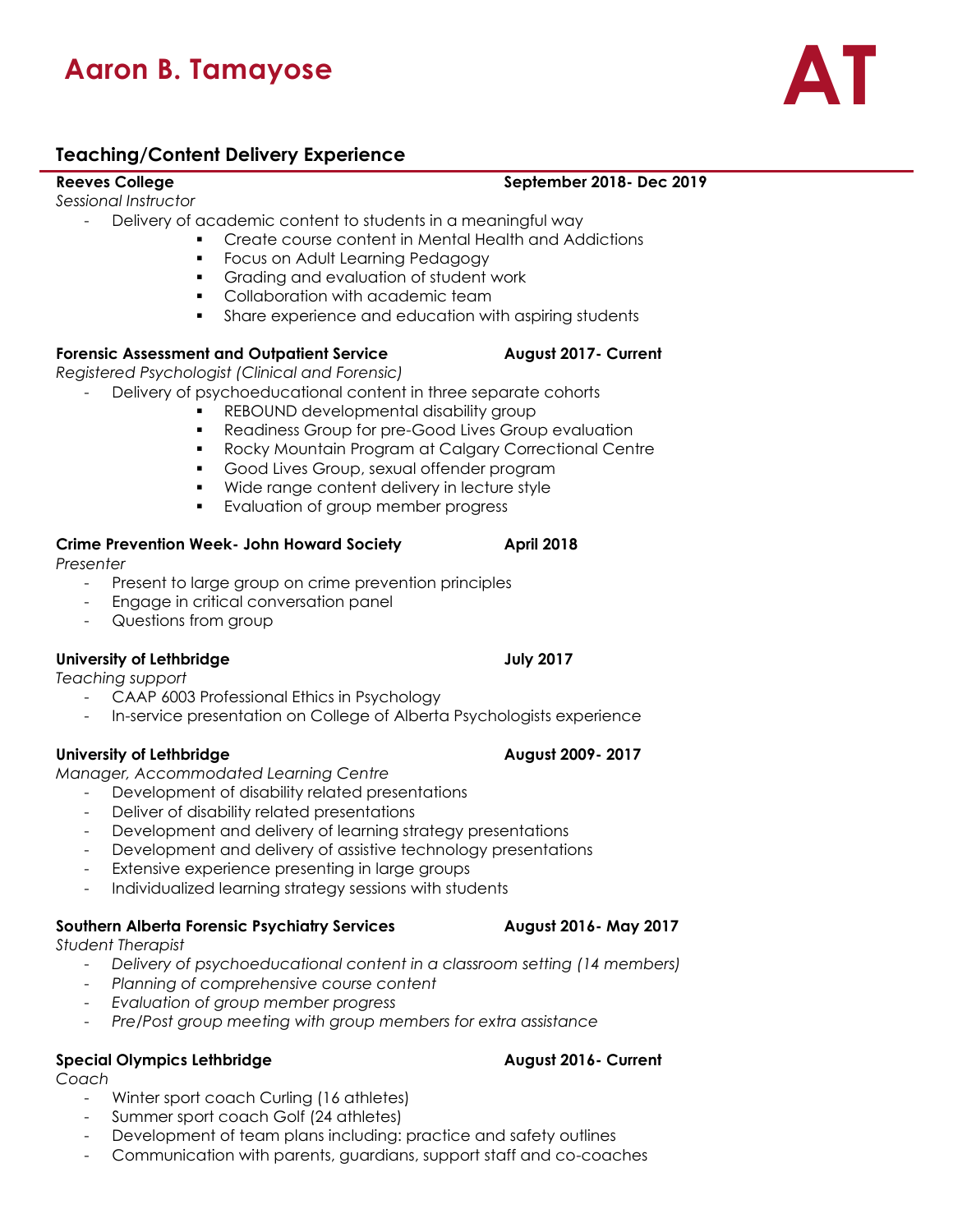# **Aaron B. Tamayose AT**

### **Teaching/Content Delivery Experience**

*Sessional Instructor* 

- Delivery of academic content to students in a meaningful way
	- Create course content in Mental Health and Addictions
	- Focus on Adult Learning Pedagogy
	- Grading and evaluation of student work
	- Collaboration with academic team
	- Share experience and education with aspiring students

### **Forensic Assessment and Outpatient Service August 2017- Current**

*Registered Psychologist (Clinical and Forensic)*

- Delivery of psychoeducational content in three separate cohorts
	- REBOUND developmental disability group
	- Readiness Group for pre-Good Lives Group evaluation
	- Rocky Mountain Program at Calgary Correctional Centre
	- Good Lives Group, sexual offender program
	- Wide range content delivery in lecture style
	- **•** Evaluation of group member progress

### **Crime Prevention Week- John Howard Society April 2018**

*Presenter*

- Present to large group on crime prevention principles
- Engage in critical conversation panel
- Questions from group

### **University of Lethbridge July 2017**

*Teaching support*

- CAAP 6003 Professional Ethics in Psychology
- In-service presentation on College of Alberta Psychologists experience

### **University of Lethbridge August 2009- 2017**

*Manager, Accommodated Learning Centre*

- Development of disability related presentations
	- Deliver of disability related presentations
	- Development and delivery of learning strategy presentations
	- Development and delivery of assistive technology presentations
	- Extensive experience presenting in large groups
	- Individualized learning strategy sessions with students

### **Southern Alberta Forensic Psychiatry Services August 2016- May 2017**

*Student Therapist*

- *Delivery of psychoeducational content in a classroom setting (14 members)*
- *Planning of comprehensive course content*
- *Evaluation of group member progress*
- *Pre/Post group meeting with group members for extra assistance*

### **Special Olympics Lethbridge August 2016- Current**

*Coach*

- Winter sport coach Curling (16 athletes)
- Summer sport coach Golf (24 athletes)
- Development of team plans including: practice and safety outlines
- Communication with parents, guardians, support staff and co-coaches

**Reeves College September 2018- Dec 2019**

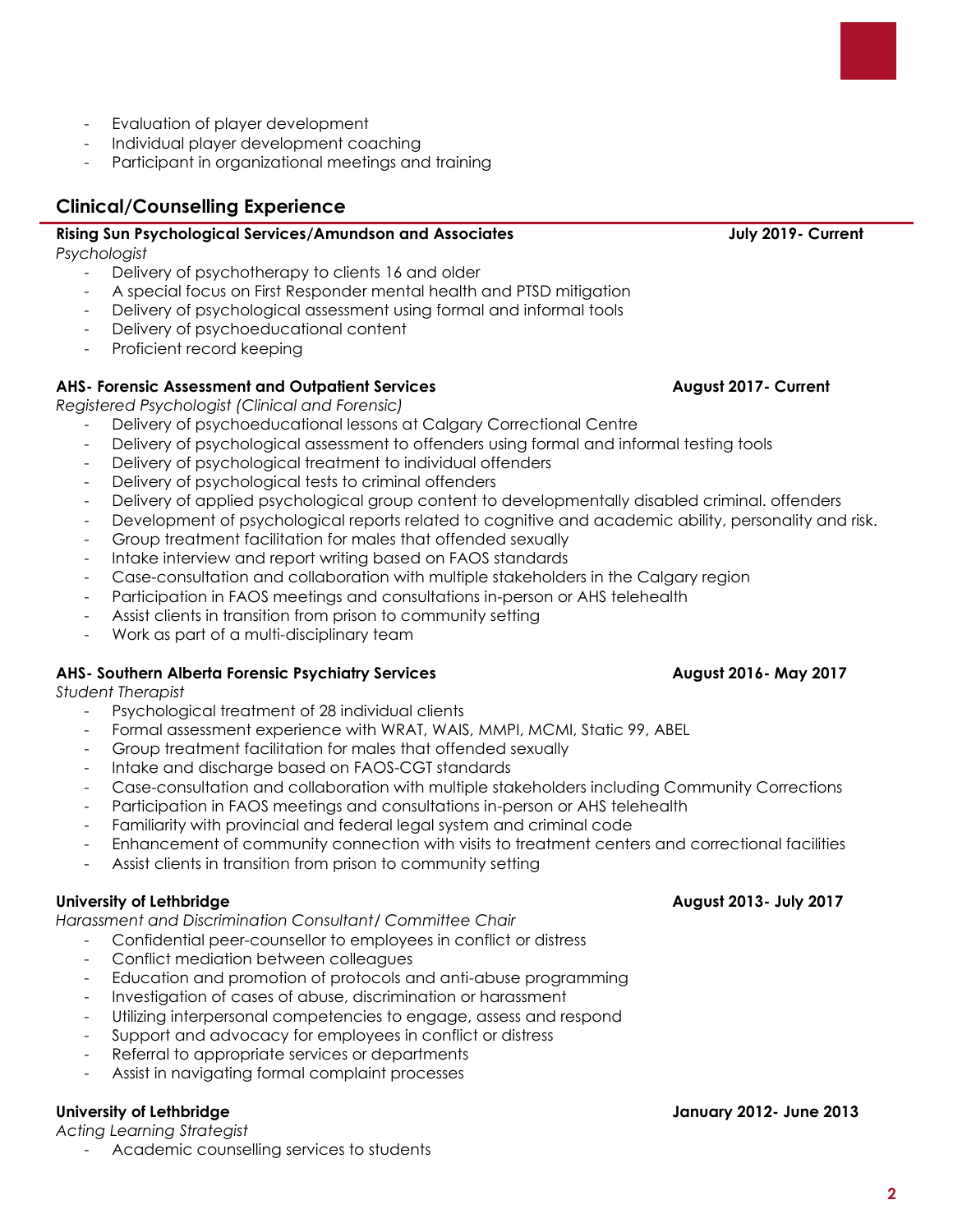*Acting Learning Strategist* Academic counselling services to students

- Evaluation of player development
- Individual player development coaching
- Participant in organizational meetings and training

# **Clinical/Counselling Experience**

# **Rising Sun Psychological Services/Amundson and Associates July 2019- Current**

*Psychologist* 

- Delivery of psychotherapy to clients 16 and older
- A special focus on First Responder mental health and PTSD mitigation
- Delivery of psychological assessment using formal and informal tools
- Delivery of psychoeducational content
- Proficient record keeping

# **AHS- Forensic Assessment and Outpatient Services August 2017- Current**

*Registered Psychologist (Clinical and Forensic)*

- Delivery of psychoeducational lessons at Calgary Correctional Centre
- Delivery of psychological assessment to offenders using formal and informal testing tools
- Delivery of psychological treatment to individual offenders
- Delivery of psychological tests to criminal offenders
- Delivery of applied psychological group content to developmentally disabled criminal, offenders
- Development of psychological reports related to cognitive and academic ability, personality and risk.
- Group treatment facilitation for males that offended sexually
- Intake interview and report writing based on FAOS standards
- Case-consultation and collaboration with multiple stakeholders in the Calgary region
- Participation in FAOS meetings and consultations in-person or AHS telehealth
- Assist clients in transition from prison to community setting
- Work as part of a multi-disciplinary team

# **AHS- Southern Alberta Forensic Psychiatry Services August 2016- May 2017**

*Student Therapist*

- Psychological treatment of 28 individual clients
- Formal assessment experience with WRAT, WAIS, MMPI, MCMI, Static 99, ABEL
- Group treatment facilitation for males that offended sexually
- Intake and discharge based on FAOS-CGT standards
- Case-consultation and collaboration with multiple stakeholders including Community Corrections
- Participation in FAOS meetings and consultations in-person or AHS telehealth
- Familiarity with provincial and federal legal system and criminal code
- Enhancement of community connection with visits to treatment centers and correctional facilities

**University of Lethbridge January 2012- June 2013**

Assist clients in transition from prison to community setting

# **University of Lethbridge August 2013- July 2017**

*Harassment and Discrimination Consultant/ Committee Chair*

- Confidential peer-counsellor to employees in conflict or distress
- Conflict mediation between colleagues
- Education and promotion of protocols and anti-abuse programming
- Investigation of cases of abuse, discrimination or harassment
- Utilizing interpersonal competencies to engage, assess and respond
- Support and advocacy for employees in conflict or distress
- Referral to appropriate services or departments
- Assist in navigating formal complaint processes

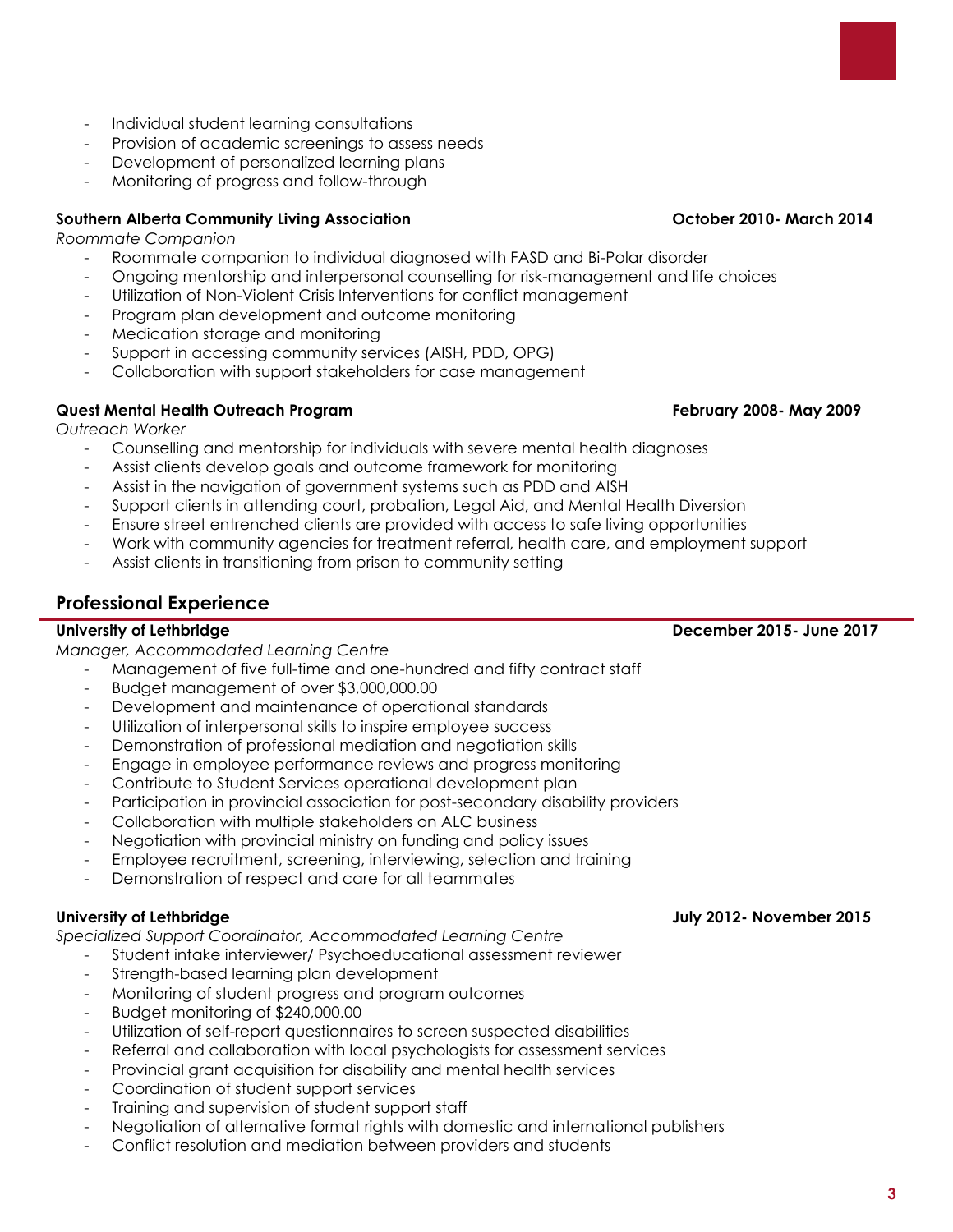- Training and supervision of student support staff - Negotiation of alternative format rights with domestic and international publishers
	- Conflict resolution and mediation between providers and students

### - Individual student learning consultations

- Provision of academic screenings to assess needs
- Development of personalized learning plans
- Monitoring of progress and follow-through

# **Southern Alberta Community Living Association October 2010- March 2014**

*Roommate Companion*

- Roommate companion to individual diagnosed with FASD and Bi-Polar disorder
- Ongoing mentorship and interpersonal counselling for risk-management and life choices
- Utilization of Non-Violent Crisis Interventions for conflict management
- Program plan development and outcome monitoring
- Medication storage and monitoring
- Support in accessing community services (AISH, PDD, OPG)
- Collaboration with support stakeholders for case management

# **Quest Mental Health Outreach Program February 2008- May 2009**

*Outreach Worker*

- Counselling and mentorship for individuals with severe mental health diagnoses
- Assist clients develop goals and outcome framework for monitoring
- Assist in the navigation of government systems such as PDD and AISH
- Support clients in attending court, probation, Legal Aid, and Mental Health Diversion
- Ensure street entrenched clients are provided with access to safe living opportunities
- Work with community agencies for treatment referral, health care, and employment support
- Assist clients in transitioning from prison to community setting

# **Professional Experience**

# **University of Lethbridge December 2015- June 2017**

*Manager, Accommodated Learning Centre*

- Management of five full-time and one-hundred and fifty contract staff
- Budget management of over \$3,000,000.00
- Development and maintenance of operational standards
- Utilization of interpersonal skills to inspire employee success
- Demonstration of professional mediation and negotiation skills
- Engage in employee performance reviews and progress monitoring
- Contribute to Student Services operational development plan
- Participation in provincial association for post-secondary disability providers
- Collaboration with multiple stakeholders on ALC business
- Negotiation with provincial ministry on funding and policy issues
- Employee recruitment, screening, interviewing, selection and training
- Demonstration of respect and care for all teammates

*Specialized Support Coordinator, Accommodated Learning Centre*

- Student intake interviewer/ Psychoeducational assessment reviewer
- Strength-based learning plan development
- Monitoring of student progress and program outcomes
- Budget monitoring of \$240,000.00
- Utilization of self-report questionnaires to screen suspected disabilities
- Referral and collaboration with local psychologists for assessment services
- Provincial grant acquisition for disability and mental health services
- Coordination of student support services

## **University of Lethbridge July 2012- November 2015**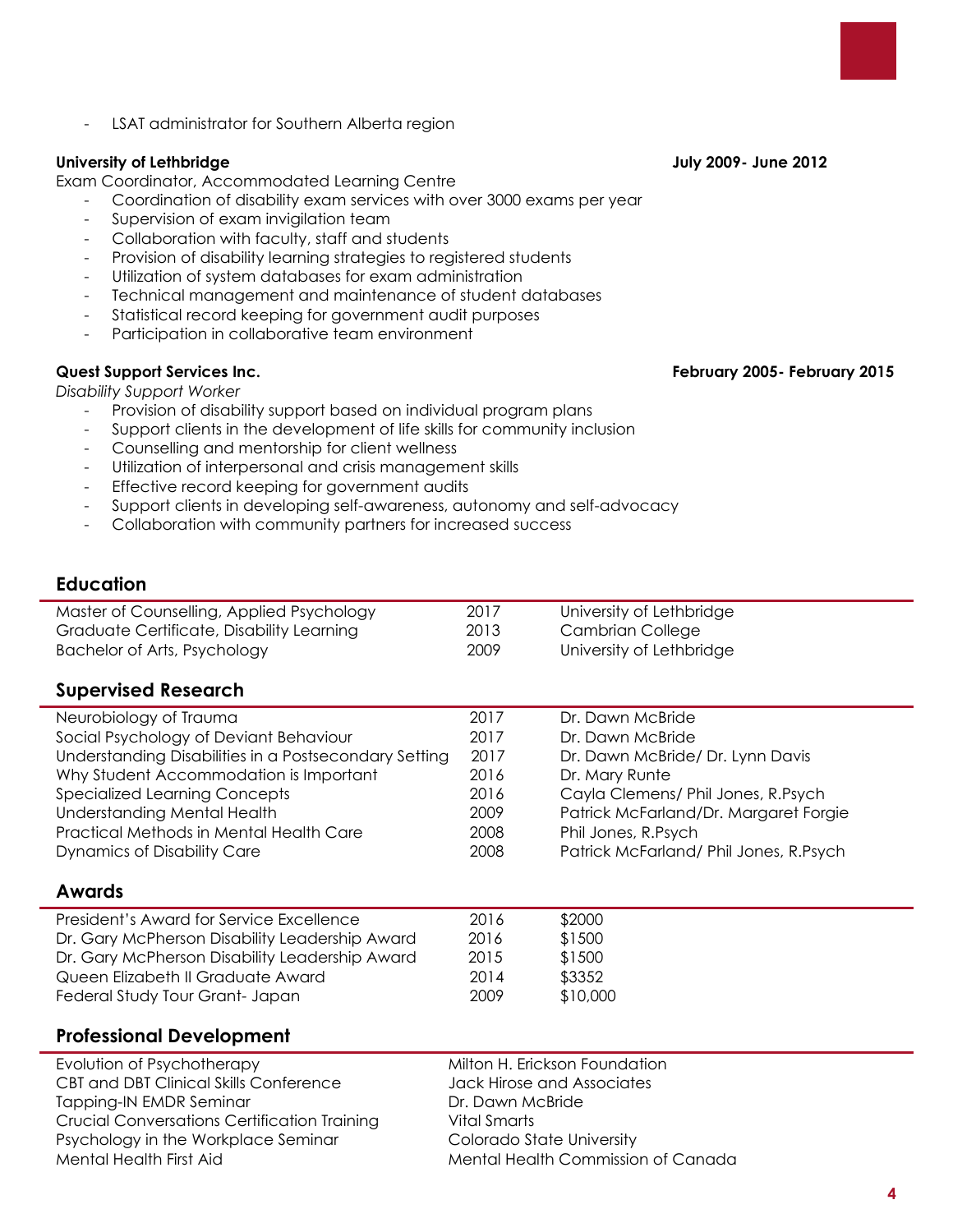**4**

- LSAT administrator for Southern Alberta region

# **University of Lethbridge July 2009- June 2012**

Exam Coordinator, Accommodated Learning Centre

- Coordination of disability exam services with over 3000 exams per year
- Supervision of exam invigilation team
- Collaboration with faculty, staff and students
- Provision of disability learning strategies to registered students
- Utilization of system databases for exam administration
- Technical management and maintenance of student databases
- Statistical record keeping for government audit purposes
- Participation in collaborative team environment

*Disability Support Worker*

- Provision of disability support based on individual program plans
- Support clients in the development of life skills for community inclusion
- Counselling and mentorship for client wellness
- Utilization of interpersonal and crisis management skills
- Effective record keeping for government audits
- Support clients in developing self-awareness, autonomy and self-advocacy
- Collaboration with community partners for increased success

### **Education**

| Master of Counselling, Applied Psychology | 2017 | University of Lethbridge |
|-------------------------------------------|------|--------------------------|
| Graduate Certificate, Disability Learning | 2013 | Cambrian College         |
| Bachelor of Arts, Psychology              | 2009 | University of Lethbridge |

## **Supervised Research**

| Neurobiology of Trauma                                | 2017 | Dr. Dawn McBride                       |
|-------------------------------------------------------|------|----------------------------------------|
| Social Psychology of Deviant Behaviour                | 2017 | Dr. Dawn McBride                       |
| Understanding Disabilities in a Postsecondary Setting | 2017 | Dr. Dawn McBride/ Dr. Lynn Davis       |
| Why Student Accommodation is Important                | 2016 | Dr. Mary Runte                         |
| <b>Specialized Learning Concepts</b>                  | 2016 | Cayla Clemens/ Phil Jones, R.Psych     |
| <b>Understanding Mental Health</b>                    | 2009 | Patrick McFarland/Dr. Margaret Forgie  |
| Practical Methods in Mental Health Care               | 2008 | Phil Jones, R.Psych                    |
| <b>Dynamics of Disability Care</b>                    | 2008 | Patrick McFarland/ Phil Jones, R.Psych |
|                                                       |      |                                        |
| <b>Awards</b>                                         |      |                                        |
| President's Award for Service Excellence              | 2016 | \$2000                                 |
| Dr. Gary McPherson Disability Leadership Award        | 2016 | \$1500                                 |
| Dr. Gary McPherson Disability Leadership Award        | 2015 | \$1500                                 |
| Queen Elizabeth II Graduate Award                     | 2014 | \$3352                                 |
| Federal Study Tour Grant- Japan                       | 2009 | \$10,000                               |

## **Professional Development**

Evolution of Psychotherapy The Milton H. Erickson Foundation CBT and DBT Clinical Skills Conference Jack Hirose and Associates Tapping-IN EMDR Seminar **Dr. Dawn McBride** Crucial Conversations Certification Training Vital Smarts Psychology in the Workplace Seminar Colorado State University Mental Health First Aid Mental Health Commission of Canada

### **Quest Support Services Inc. February 2005- February 2015**